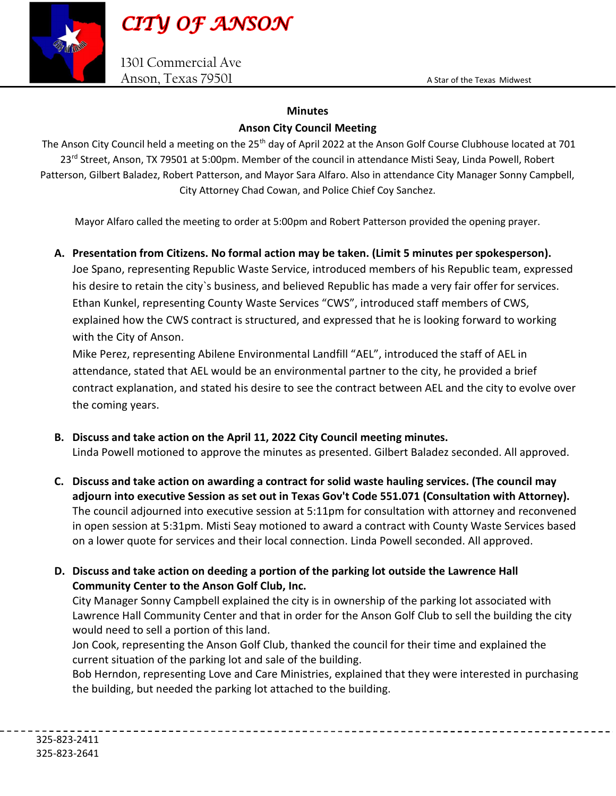

1301 Commercial Ave Anson, Texas 79501 A Star of the Texas Midwest

## **Minutes**

## Anson City Council Meeting

The Anson City Council held a meeting on the 25<sup>th</sup> day of April 2022 at the Anson Golf Course Clubhouse located at 701 23<sup>rd</sup> Street, Anson, TX 79501 at 5:00pm. Member of the council in attendance Misti Seay, Linda Powell, Robert Patterson, Gilbert Baladez, Robert Patterson, and Mayor Sara Alfaro. Also in attendance City Manager Sonny Campbell, City Attorney Chad Cowan, and Police Chief Coy Sanchez.

Mayor Alfaro called the meeting to order at 5:00pm and Robert Patterson provided the opening prayer.

## A. Presentation from Citizens. No formal action may be taken. (Limit 5 minutes per spokesperson).

Joe Spano, representing Republic Waste Service, introduced members of his Republic team, expressed his desire to retain the city`s business, and believed Republic has made a very fair offer for services. Ethan Kunkel, representing County Waste Services "CWS", introduced staff members of CWS, explained how the CWS contract is structured, and expressed that he is looking forward to working with the City of Anson.

Mike Perez, representing Abilene Environmental Landfill "AEL", introduced the staff of AEL in attendance, stated that AEL would be an environmental partner to the city, he provided a brief contract explanation, and stated his desire to see the contract between AEL and the city to evolve over the coming years.

- B. Discuss and take action on the April 11, 2022 City Council meeting minutes. Linda Powell motioned to approve the minutes as presented. Gilbert Baladez seconded. All approved.
- C. Discuss and take action on awarding a contract for solid waste hauling services. (The council may adjourn into executive Session as set out in Texas Gov't Code 551.071 (Consultation with Attorney). The council adjourned into executive session at 5:11pm for consultation with attorney and reconvened in open session at 5:31pm. Misti Seay motioned to award a contract with County Waste Services based on a lower quote for services and their local connection. Linda Powell seconded. All approved.
- D. Discuss and take action on deeding a portion of the parking lot outside the Lawrence Hall Community Center to the Anson Golf Club, Inc.

City Manager Sonny Campbell explained the city is in ownership of the parking lot associated with Lawrence Hall Community Center and that in order for the Anson Golf Club to sell the building the city would need to sell a portion of this land.

Jon Cook, representing the Anson Golf Club, thanked the council for their time and explained the current situation of the parking lot and sale of the building.

Bob Herndon, representing Love and Care Ministries, explained that they were interested in purchasing the building, but needed the parking lot attached to the building.